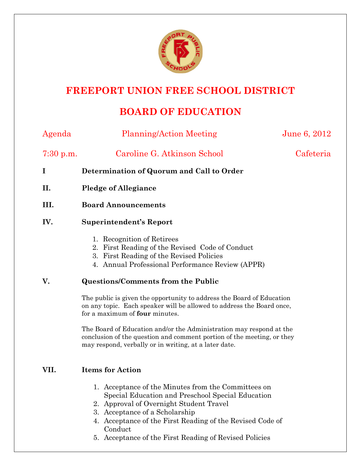

# **FREEPORT UNION FREE SCHOOL DISTRICT**

# **BOARD OF EDUCATION**

| Agenda                                | <b>Planning/Action Meeting</b>                                                                                                                                                                         | June 6, 2012 |
|---------------------------------------|--------------------------------------------------------------------------------------------------------------------------------------------------------------------------------------------------------|--------------|
| 7:30 p.m.                             | Caroline G. Atkinson School                                                                                                                                                                            | Cafeteria    |
| 1                                     | Determination of Quorum and Call to Order                                                                                                                                                              |              |
| II.                                   | <b>Pledge of Allegiance</b>                                                                                                                                                                            |              |
| III.                                  | <b>Board Announcements</b>                                                                                                                                                                             |              |
| IV.<br><b>Superintendent's Report</b> |                                                                                                                                                                                                        |              |
|                                       | 1. Recognition of Retirees<br>2. First Reading of the Revised Code of Conduct<br>First Reading of the Revised Policies<br>3.<br>4. Annual Professional Performance Review (APPR)                       |              |
| V.                                    | <b>Questions/Comments from the Public</b>                                                                                                                                                              |              |
|                                       | The public is given the opportunity to address the Board of Education<br>on any topic. Each speaker will be allowed to address the Board once,<br>for a maximum of <b>four</b> minutes.                |              |
|                                       | The Board of Education and/or the Administration may respond at the<br>conclusion of the question and comment portion of the meeting, or they<br>may respond, verbally or in writing, at a later date. |              |
| VII.                                  | <b>Items for Action</b>                                                                                                                                                                                |              |
|                                       | 1. Acceptance of the Minutes from the Committees on<br>Special Education and Preschool Special Education<br>2. Approval of Overnight Student Travel                                                    |              |

- 3. Acceptance of a Scholarship
- 4. Acceptance of the First Reading of the Revised Code of Conduct
- 5. Acceptance of the First Reading of Revised Policies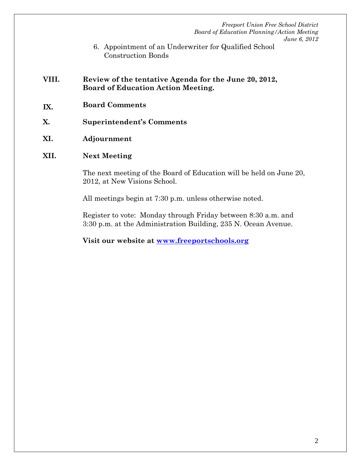- 6. Appointment of an Underwriter for Qualified School Construction Bonds
- **VIII. Review of the tentative Agenda for the June 20, 2012, Board of Education Action Meeting.**
- **IX. Board Comments**
- **X. Superintendent's Comments**
- **XI. Adjournment**
- **XII. Next Meeting**

The next meeting of the Board of Education will be held on June 20, 2012, at New Visions School.

All meetings begin at 7:30 p.m. unless otherwise noted.

Register to vote: Monday through Friday between 8:30 a.m. and 3:30 p.m. at the Administration Building, 235 N. Ocean Avenue.

**Visit our website at www.freeportschools.org**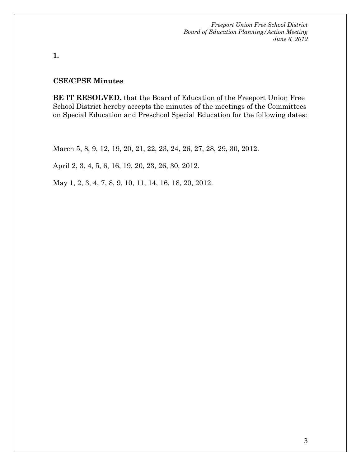**1.** 

#### **CSE/CPSE Minutes**

**BE IT RESOLVED,** that the Board of Education of the Freeport Union Free School District hereby accepts the minutes of the meetings of the Committees on Special Education and Preschool Special Education for the following dates:

March 5, 8, 9, 12, 19, 20, 21, 22, 23, 24, 26, 27, 28, 29, 30, 2012.

April 2, 3, 4, 5, 6, 16, 19, 20, 23, 26, 30, 2012.

May 1, 2, 3, 4, 7, 8, 9, 10, 11, 14, 16, 18, 20, 2012.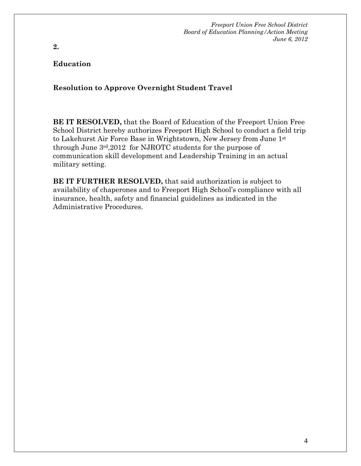#### **Education**

**2.** 

#### **Resolution to Approve Overnight Student Travel**

**BE IT RESOLVED,** that the Board of Education of the Freeport Union Free School District hereby authorizes Freeport High School to conduct a field trip to Lakehurst Air Force Base in Wrightstown, New Jersey from June 1st through June 3rd,2012 for NJROTC students for the purpose of communication skill development and Leadership Training in an actual military setting.

**BE IT FURTHER RESOLVED,** that said authorization is subject to availability of chaperones and to Freeport High School's compliance with all insurance, health, safety and financial guidelines as indicated in the Administrative Procedures.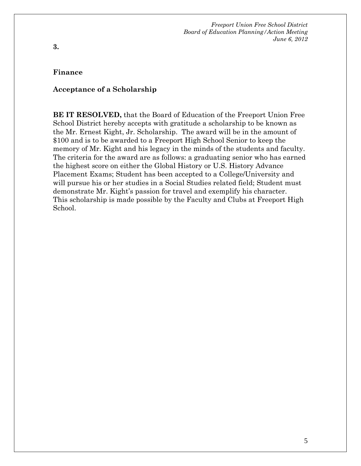#### **Finance**

**3.** 

#### **Acceptance of a Scholarship**

**BE IT RESOLVED,** that the Board of Education of the Freeport Union Free School District hereby accepts with gratitude a scholarship to be known as the Mr. Ernest Kight, Jr. Scholarship. The award will be in the amount of \$100 and is to be awarded to a Freeport High School Senior to keep the memory of Mr. Kight and his legacy in the minds of the students and faculty. The criteria for the award are as follows: a graduating senior who has earned the highest score on either the Global History or U.S. History Advance Placement Exams; Student has been accepted to a College/University and will pursue his or her studies in a Social Studies related field; Student must demonstrate Mr. Kight's passion for travel and exemplify his character. This scholarship is made possible by the Faculty and Clubs at Freeport High School.

5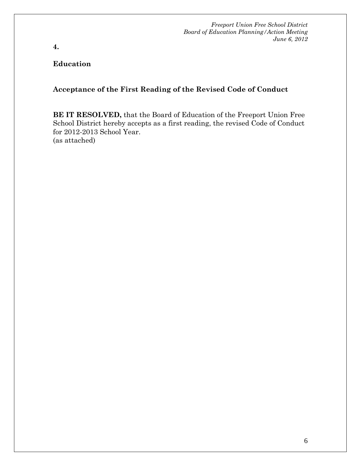**4.** 

#### **Education**

### **Acceptance of the First Reading of the Revised Code of Conduct**

**BE IT RESOLVED,** that the Board of Education of the Freeport Union Free School District hereby accepts as a first reading, the revised Code of Conduct for 2012-2013 School Year. (as attached)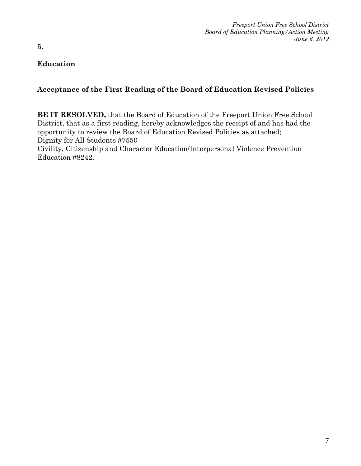**5.** 

## **Education**

## **Acceptance of the First Reading of the Board of Education Revised Policies**

**BE IT RESOLVED,** that the Board of Education of the Freeport Union Free School District, that as a first reading, hereby acknowledges the receipt of and has had the opportunity to review the Board of Education Revised Policies as attached; Dignity for All Students #7550

Civility, Citizenship and Character Education/Interpersonal Violence Prevention Education #8242.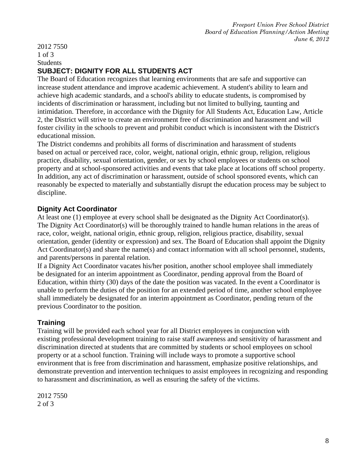2012 7550 1 of 3 **Students SUBJECT: DIGNITY FOR ALL STUDENTS ACT** 

The Board of Education recognizes that learning environments that are safe and supportive can increase student attendance and improve academic achievement. A student's ability to learn and achieve high academic standards, and a school's ability to educate students, is compromised by incidents of discrimination or harassment, including but not limited to bullying, taunting and intimidation. Therefore, in accordance with the Dignity for All Students Act, Education Law, Article 2, the District will strive to create an environment free of discrimination and harassment and will foster civility in the schools to prevent and prohibit conduct which is inconsistent with the District's educational mission.

The District condemns and prohibits all forms of discrimination and harassment of students based on actual or perceived race, color, weight, national origin, ethnic group, religion, religious practice, disability, sexual orientation, gender, or sex by school employees or students on school property and at school-sponsored activities and events that take place at locations off school property. In addition, any act of discrimination or harassment, outside of school sponsored events, which can reasonably be expected to materially and substantially disrupt the education process may be subject to discipline.

### **Dignity Act Coordinator**

At least one (1) employee at every school shall be designated as the Dignity Act Coordinator(s). The Dignity Act Coordinator(s) will be thoroughly trained to handle human relations in the areas of race, color, weight, national origin, ethnic group, religion, religious practice, disability, sexual orientation, gender (identity or expression) and sex. The Board of Education shall appoint the Dignity Act Coordinator(s) and share the name(s) and contact information with all school personnel, students, and parents/persons in parental relation.

If a Dignity Act Coordinator vacates his/her position, another school employee shall immediately be designated for an interim appointment as Coordinator, pending approval from the Board of Education, within thirty (30) days of the date the position was vacated. In the event a Coordinator is unable to perform the duties of the position for an extended period of time, another school employee shall immediately be designated for an interim appointment as Coordinator, pending return of the previous Coordinator to the position.

### **Training**

Training will be provided each school year for all District employees in conjunction with existing professional development training to raise staff awareness and sensitivity of harassment and discrimination directed at students that are committed by students or school employees on school property or at a school function. Training will include ways to promote a supportive school environment that is free from discrimination and harassment, emphasize positive relationships, and demonstrate prevention and intervention techniques to assist employees in recognizing and responding to harassment and discrimination, as well as ensuring the safety of the victims.

2012 7550 2 of 3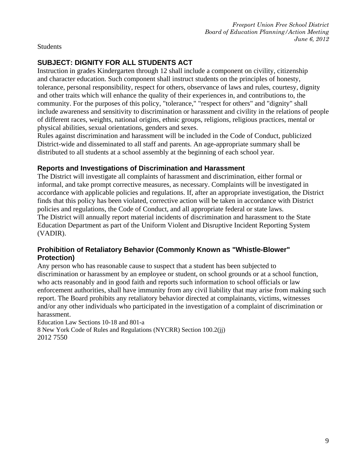**Students** 

### **SUBJECT: DIGNITY FOR ALL STUDENTS ACT**

Instruction in grades Kindergarten through 12 shall include a component on civility, citizenship and character education. Such component shall instruct students on the principles of honesty, tolerance, personal responsibility, respect for others, observance of laws and rules, courtesy, dignity and other traits which will enhance the quality of their experiences in, and contributions to, the community. For the purposes of this policy, "tolerance," "respect for others" and "dignity" shall include awareness and sensitivity to discrimination or harassment and civility in the relations of people of different races, weights, national origins, ethnic groups, religions, religious practices, mental or physical abilities, sexual orientations, genders and sexes.

Rules against discrimination and harassment will be included in the Code of Conduct, publicized District-wide and disseminated to all staff and parents. An age-appropriate summary shall be distributed to all students at a school assembly at the beginning of each school year.

### **Reports and Investigations of Discrimination and Harassment**

The District will investigate all complaints of harassment and discrimination, either formal or informal, and take prompt corrective measures, as necessary. Complaints will be investigated in accordance with applicable policies and regulations. If, after an appropriate investigation, the District finds that this policy has been violated, corrective action will be taken in accordance with District policies and regulations, the Code of Conduct, and all appropriate federal or state laws. The District will annually report material incidents of discrimination and harassment to the State Education Department as part of the Uniform Violent and Disruptive Incident Reporting System (VADIR).

### **Prohibition of Retaliatory Behavior (Commonly Known as "Whistle-Blower" Protection)**

Any person who has reasonable cause to suspect that a student has been subjected to discrimination or harassment by an employee or student, on school grounds or at a school function, who acts reasonably and in good faith and reports such information to school officials or law enforcement authorities, shall have immunity from any civil liability that may arise from making such report. The Board prohibits any retaliatory behavior directed at complainants, victims, witnesses and/or any other individuals who participated in the investigation of a complaint of discrimination or harassment.

Education Law Sections 10-18 and 801-a 8 New York Code of Rules and Regulations (NYCRR) Section 100.2(jj) 2012 7550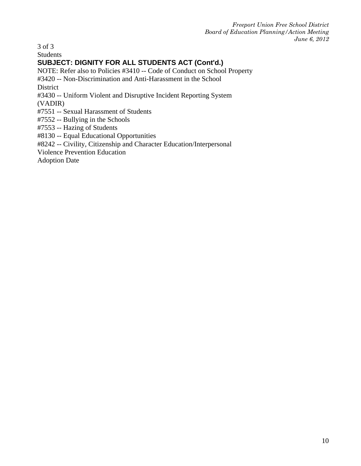3 of 3

Students

### **SUBJECT: DIGNITY FOR ALL STUDENTS ACT (Cont'd.)**

NOTE: Refer also to Policies #3410 -- Code of Conduct on School Property

#3420 -- Non-Discrimination and Anti-Harassment in the School

District

#3430 -- Uniform Violent and Disruptive Incident Reporting System

(VADIR)

#7551 -- Sexual Harassment of Students

#7552 -- Bullying in the Schools

#7553 -- Hazing of Students

#8130 -- Equal Educational Opportunities

#8242 -- Civility, Citizenship and Character Education/Interpersonal

Violence Prevention Education

Adoption Date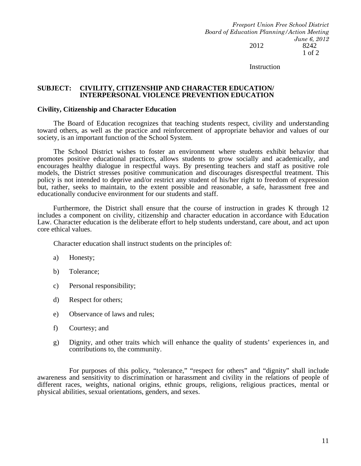*Freeport Union Free School District Board of Education Planning/Action Meeting June 6, 2012*  2012 8242 1 of 2

**Instruction** 

#### **SUBJECT: CIVILITY, CITIZENSHIP AND CHARACTER EDUCATION/ INTERPERSONAL VIOLENCE PREVENTION EDUCATION**

#### **Civility, Citizenship and Character Education**

 The Board of Education recognizes that teaching students respect, civility and understanding toward others, as well as the practice and reinforcement of appropriate behavior and values of our society, is an important function of the School System.

 The School District wishes to foster an environment where students exhibit behavior that promotes positive educational practices, allows students to grow socially and academically, and encourages healthy dialogue in respectful ways. By presenting teachers and staff as positive role models, the District stresses positive communication and discourages disrespectful treatment. This policy is not intended to deprive and/or restrict any student of his/her right to freedom of expression but, rather, seeks to maintain, to the extent possible and reasonable, a safe, harassment free and educationally conducive environment for our students and staff.

 Furthermore, the District shall ensure that the course of instruction in grades K through 12 includes a component on civility, citizenship and character education in accordance with Education Law. Character education is the deliberate effort to help students understand, care about, and act upon core ethical values.

Character education shall instruct students on the principles of:

- a) Honesty;
- b) Tolerance;
- c) Personal responsibility;
- d) Respect for others;
- e) Observance of laws and rules;
- f) Courtesy; and
- g) Dignity, and other traits which will enhance the quality of students' experiences in, and contributions to, the community.

 For purposes of this policy, "tolerance," "respect for others" and "dignity" shall include awareness and sensitivity to discrimination or harassment and civility in the relations of people of different races, weights, national origins, ethnic groups, religions, religious practices, mental or physical abilities, sexual orientations, genders, and sexes.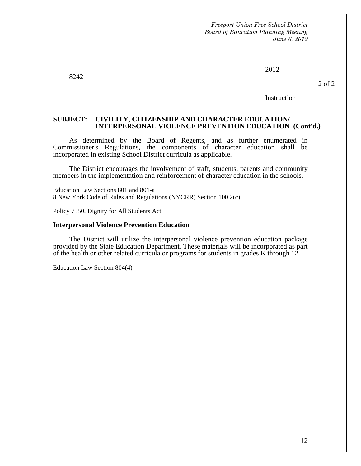2012

8242

2 of 2

**Instruction** 

#### **SUBJECT: CIVILITY, CITIZENSHIP AND CHARACTER EDUCATION/ INTERPERSONAL VIOLENCE PREVENTION EDUCATION (Cont'd.)**

 As determined by the Board of Regents, and as further enumerated in Commissioner's Regulations, the components of character education shall be incorporated in existing School District curricula as applicable.

 The District encourages the involvement of staff, students, parents and community members in the implementation and reinforcement of character education in the schools.

Education Law Sections 801 and 801-a 8 New York Code of Rules and Regulations (NYCRR) Section 100.2(c)

Policy 7550, Dignity for All Students Act

#### **Interpersonal Violence Prevention Education**

 The District will utilize the interpersonal violence prevention education package provided by the State Education Department. These materials will be incorporated as part of the health or other related curricula or programs for students in grades K through 12.

Education Law Section 804(4)